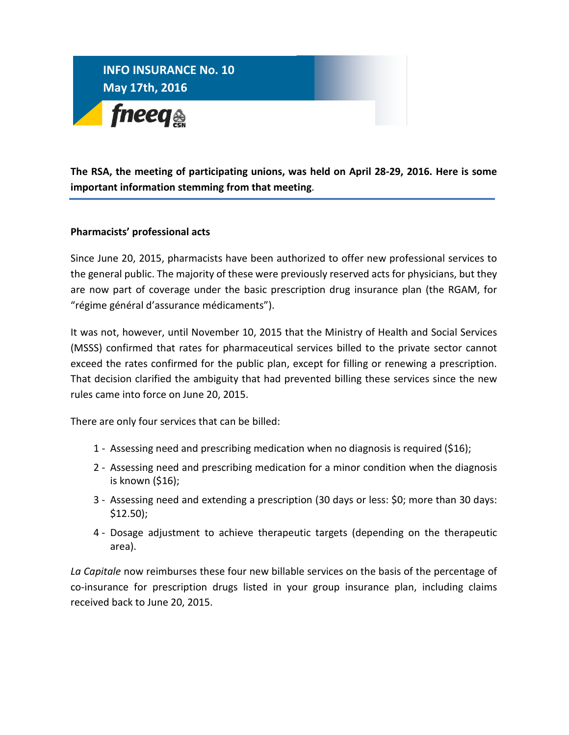

**The RSA, the meeting of participating unions, was held on April 28-29, 2016. Here is some important information stemming from that meeting**.

## **Pharmacists' professional acts**

Since June 20, 2015, pharmacists have been authorized to offer new professional services to the general public. The majority of these were previously reserved acts for physicians, but they are now part of coverage under the basic prescription drug insurance plan (the RGAM, for "régime général d'assurance médicaments").

It was not, however, until November 10, 2015 that the Ministry of Health and Social Services (MSSS) confirmed that rates for pharmaceutical services billed to the private sector cannot exceed the rates confirmed for the public plan, except for filling or renewing a prescription. That decision clarified the ambiguity that had prevented billing these services since the new rules came into force on June 20, 2015.

There are only four services that can be billed:

- 1 Assessing need and prescribing medication when no diagnosis is required (\$16);
- 2 Assessing need and prescribing medication for a minor condition when the diagnosis is known (\$16);
- 3 Assessing need and extending a prescription (30 days or less: \$0; more than 30 days: \$12.50);
- 4 Dosage adjustment to achieve therapeutic targets (depending on the therapeutic area).

*La Capitale* now reimburses these four new billable services on the basis of the percentage of co-insurance for prescription drugs listed in your group insurance plan, including claims received back to June 20, 2015.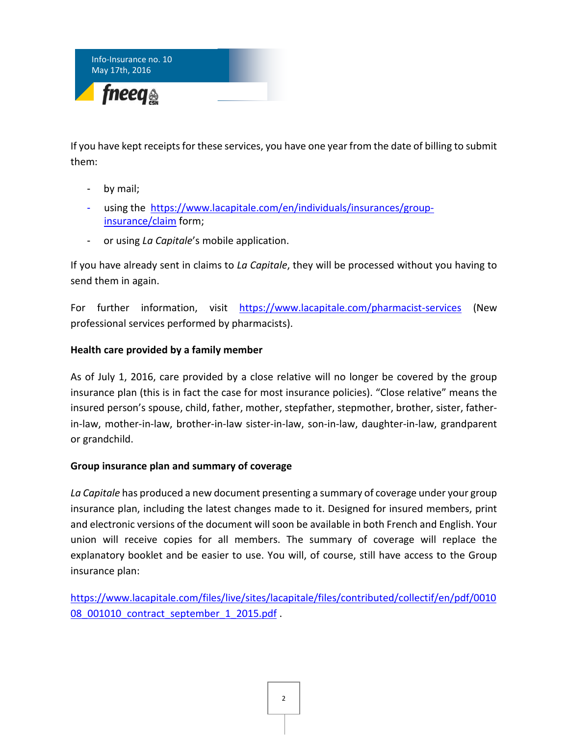

If you have kept receipts for these services, you have one year from the date of billing to submit them:

- by mail;
- using the [https://www.lacapitale.com/en/individuals/insurances/group](https://www.lacapitale.com/en/individuals/insurances/group-insurance/claim)[insurance/claim](https://www.lacapitale.com/en/individuals/insurances/group-insurance/claim) form;
- or using *La Capitale*'s mobile application.

If you have already sent in claims to *La Capitale*, they will be processed without you having to send them in again.

For further information, visit <https://www.lacapitale.com/pharmacist-services> (New professional services performed by pharmacists).

## **Health care provided by a family member**

As of July 1, 2016, care provided by a close relative will no longer be covered by the group insurance plan (this is in fact the case for most insurance policies). "Close relative" means the insured person's spouse, child, father, mother, stepfather, stepmother, brother, sister, fatherin-law, mother-in-law, brother-in-law sister-in-law, son-in-law, daughter-in-law, grandparent or grandchild.

## **Group insurance plan and summary of coverage**

*La Capitale* has produced a new document presenting a summary of coverage under your group insurance plan, including the latest changes made to it. Designed for insured members, print and electronic versions of the document will soon be available in both French and English. Your union will receive copies for all members. The summary of coverage will replace the explanatory booklet and be easier to use. You will, of course, still have access to the Group insurance plan:

[https://www.lacapitale.com/files/live/sites/lacapitale/files/contributed/collectif/en/pdf/0010](https://www.lacapitale.com/files/live/sites/lacapitale/files/contributed/collectif/en/pdf/001008_001010_contract_september_1_2015.pdf) 08 001010 contract september 1 2015.pdf.